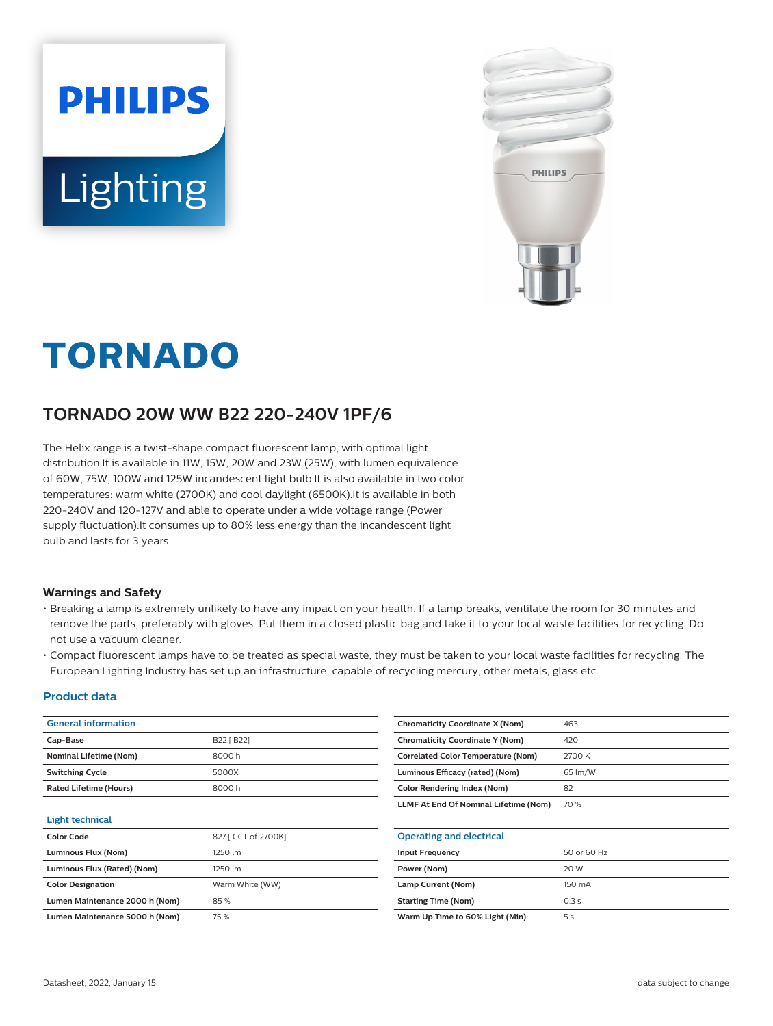



# **TORNADO**

## **TORNADO 20W WW B22 220-240V 1PF/6**

The Helix range is a twist-shape compact fluorescent lamp, with optimal light distribution.It is available in 11W, 15W, 20W and 23W (25W), with lumen equivalence of 60W, 75W, 100W and 125W incandescent light bulb.It is also available in two color temperatures: warm white (2700K) and cool daylight (6500K).It is available in both 220-240V and 120-127V and able to operate under a wide voltage range (Power supply fluctuation).It consumes up to 80% less energy than the incandescent light bulb and lasts for 3 years.

#### **Warnings and Safety**

- Breaking a lamp is extremely unlikely to have any impact on your health. If a lamp breaks, ventilate the room for 30 minutes and remove the parts, preferably with gloves. Put them in a closed plastic bag and take it to your local waste facilities for recycling. Do not use a vacuum cleaner.
- Compact fluorescent lamps have to be treated as special waste, they must be taken to your local waste facilities for recycling. The European Lighting Industry has set up an infrastructure, capable of recycling mercury, other metals, glass etc.

#### **Product data**

| <b>General information</b>     |                     | <b>Chromaticity Coordinate X (Nom)</b>    | 463         |
|--------------------------------|---------------------|-------------------------------------------|-------------|
| Cap-Base                       | B22 [ B22]          | <b>Chromaticity Coordinate Y (Nom)</b>    | 420         |
| Nominal Lifetime (Nom)         | 8000h               | <b>Correlated Color Temperature (Nom)</b> | 2700 K      |
| <b>Switching Cycle</b>         | 5000X               | Luminous Efficacy (rated) (Nom)           | 65 lm/W     |
| <b>Rated Lifetime (Hours)</b>  | 8000h               | <b>Color Rendering Index (Nom)</b>        | 82          |
|                                |                     | LLMF At End Of Nominal Lifetime (Nom)     | 70 %        |
| <b>Light technical</b>         |                     |                                           |             |
| <b>Color Code</b>              | 827 [ CCT of 2700K] | <b>Operating and electrical</b>           |             |
| Luminous Flux (Nom)            | 1250 lm             | <b>Input Frequency</b>                    | 50 or 60 Hz |
| Luminous Flux (Rated) (Nom)    | 1250 lm             | Power (Nom)                               | 20 W        |
| <b>Color Designation</b>       | Warm White (WW)     | Lamp Current (Nom)                        | 150 mA      |
| Lumen Maintenance 2000 h (Nom) | 85%                 | <b>Starting Time (Nom)</b>                | 0.3s        |
| Lumen Maintenance 5000 h (Nom) | 75 %                | Warm Up Time to 60% Light (Min)           | 5s          |
|                                |                     |                                           |             |